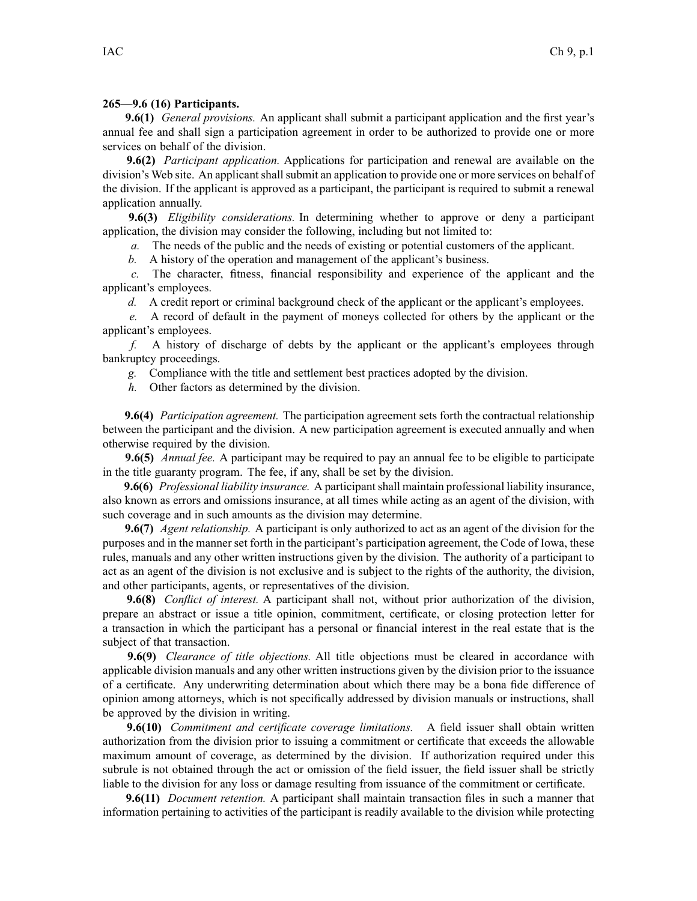## **265—9.6 (16) Participants.**

**9.6(1)** *General provisions.* An applicant shall submit <sup>a</sup> participant application and the first year's annual fee and shall sign <sup>a</sup> participation agreemen<sup>t</sup> in order to be authorized to provide one or more services on behalf of the division.

**9.6(2)** *Participant application.* Applications for participation and renewal are available on the division's Web site. An applicant shall submit an application to provide one or more services on behalf of the division. If the applicant is approved as <sup>a</sup> participant, the participant is required to submit <sup>a</sup> renewal application annually.

**9.6(3)** *Eligibility considerations.* In determining whether to approve or deny <sup>a</sup> participant application, the division may consider the following, including but not limited to:

*a.* The needs of the public and the needs of existing or potential customers of the applicant.

*b.* A history of the operation and managemen<sup>t</sup> of the applicant's business.

*c.* The character, fitness, financial responsibility and experience of the applicant and the applicant's employees.

*d.* A credit report or criminal background check of the applicant or the applicant's employees.

*e.* A record of default in the paymen<sup>t</sup> of moneys collected for others by the applicant or the applicant's employees.

*f.* A history of discharge of debts by the applicant or the applicant's employees through bankruptcy proceedings.

*g.* Compliance with the title and settlement best practices adopted by the division.

*h.* Other factors as determined by the division.

**9.6(4)** *Participation agreement.* The participation agreemen<sup>t</sup> sets forth the contractual relationship between the participant and the division. A new participation agreemen<sup>t</sup> is executed annually and when otherwise required by the division.

**9.6(5)** *Annual fee.* A participant may be required to pay an annual fee to be eligible to participate in the title guaranty program. The fee, if any, shall be set by the division.

**9.6(6)** *Professional liability insurance.* A participantshall maintain professional liability insurance, also known as errors and omissions insurance, at all times while acting as an agen<sup>t</sup> of the division, with such coverage and in such amounts as the division may determine.

**9.6(7)** *Agent relationship.* A participant is only authorized to act as an agen<sup>t</sup> of the division for the purposes and in the manner set forth in the participant's participation agreement, the Code of Iowa, these rules, manuals and any other written instructions given by the division. The authority of <sup>a</sup> participant to act as an agen<sup>t</sup> of the division is not exclusive and is subject to the rights of the authority, the division, and other participants, agents, or representatives of the division.

**9.6(8)** *Conflict of interest.* A participant shall not, without prior authorization of the division, prepare an abstract or issue <sup>a</sup> title opinion, commitment, certificate, or closing protection letter for <sup>a</sup> transaction in which the participant has <sup>a</sup> personal or financial interest in the real estate that is the subject of that transaction.

**9.6(9)** *Clearance of title objections.* All title objections must be cleared in accordance with applicable division manuals and any other written instructions given by the division prior to the issuance of <sup>a</sup> certificate. Any underwriting determination about which there may be <sup>a</sup> bona fide difference of opinion among attorneys, which is not specifically addressed by division manuals or instructions, shall be approved by the division in writing.

**9.6(10)** *Commitment and certificate coverage limitations.* A field issuer shall obtain written authorization from the division prior to issuing <sup>a</sup> commitment or certificate that exceeds the allowable maximum amount of coverage, as determined by the division. If authorization required under this subrule is not obtained through the act or omission of the field issuer, the field issuer shall be strictly liable to the division for any loss or damage resulting from issuance of the commitment or certificate.

**9.6(11)** *Document retention.* A participant shall maintain transaction files in such <sup>a</sup> manner that information pertaining to activities of the participant is readily available to the division while protecting